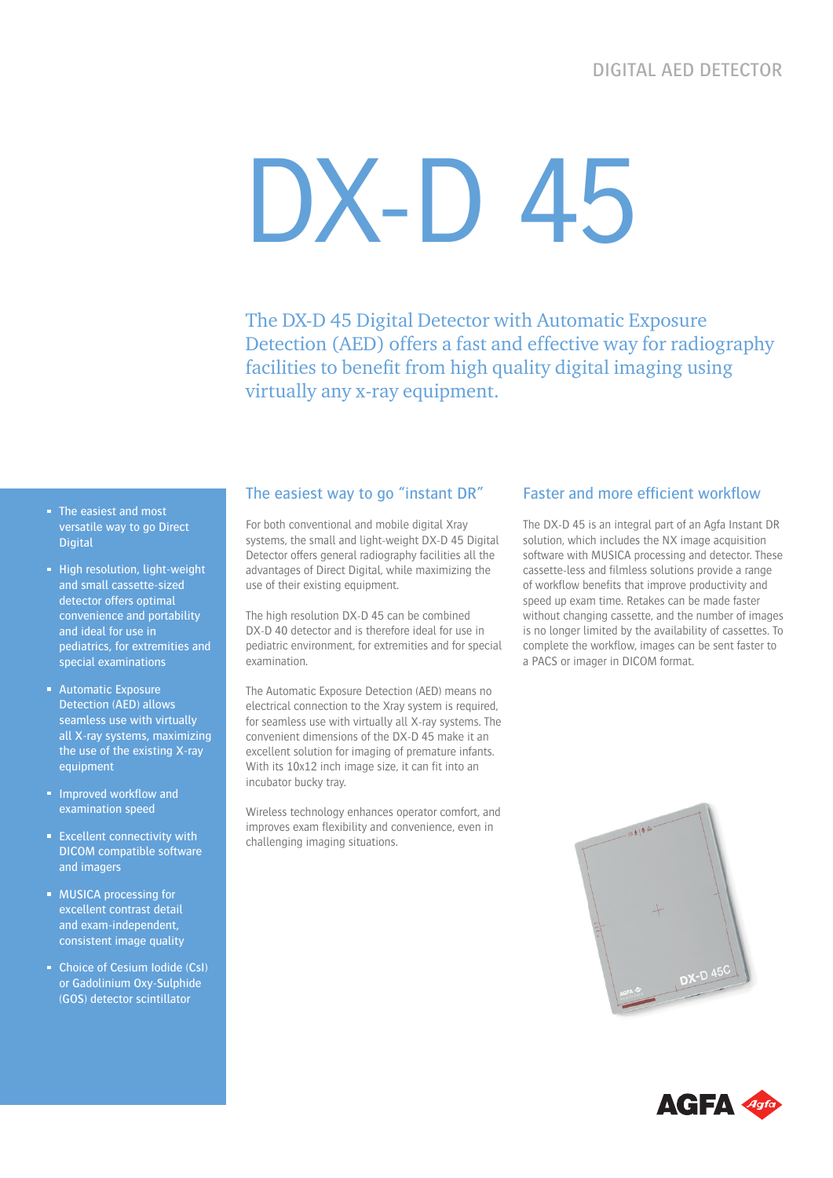# DX-D 45

The DX-D 45 Digital Detector with Automatic Exposure Detection (AED) offers a fast and effective way for radiography facilities to benefit from high quality digital imaging using virtually any x-ray equipment.

- The easiest and most versatile way to go Direct Digital
- **High resolution, light-weight** and small cassette-sized detector offers optimal convenience and portability and ideal for use in pediatrics, for extremities and special examinations
- **Automatic Exposure** Detection (AED) allows seamless use with virtually all X-ray systems, maximizing the use of the existing X-ray equipment
- **Improved workflow and** examination speed
- **Excellent connectivity with** DICOM compatible software and imagers
- **MUSICA processing for** excellent contrast detail and exam-independent, consistent image quality
- Choice of Cesium Iodide (CsI) or Gadolinium Oxy-Sulphide (GOS) detector scintillator

#### The easiest way to go "instant DR"

For both conventional and mobile digital Xray systems, the small and light-weight DX-D 45 Digital Detector offers general radiography facilities all the advantages of Direct Digital, while maximizing the use of their existing equipment.

The high resolution DX-D 45 can be combined DX-D 40 detector and is therefore ideal for use in pediatric environment, for extremities and for special examination.

The Automatic Exposure Detection (AED) means no electrical connection to the Xray system is required, for seamless use with virtually all X-ray systems. The convenient dimensions of the DX-D 45 make it an excellent solution for imaging of premature infants. With its 10x12 inch image size, it can fit into an incubator bucky tray.

Wireless technology enhances operator comfort, and improves exam flexibility and convenience, even in challenging imaging situations.

#### Faster and more efficient workflow

The DX-D 45 is an integral part of an Agfa Instant DR solution, which includes the NX image acquisition software with MUSICA processing and detector. These cassette-less and filmless solutions provide a range of workflow benefits that improve productivity and speed up exam time. Retakes can be made faster without changing cassette, and the number of images is no longer limited by the availability of cassettes. To complete the workflow, images can be sent faster to a PACS or imager in DICOM format.



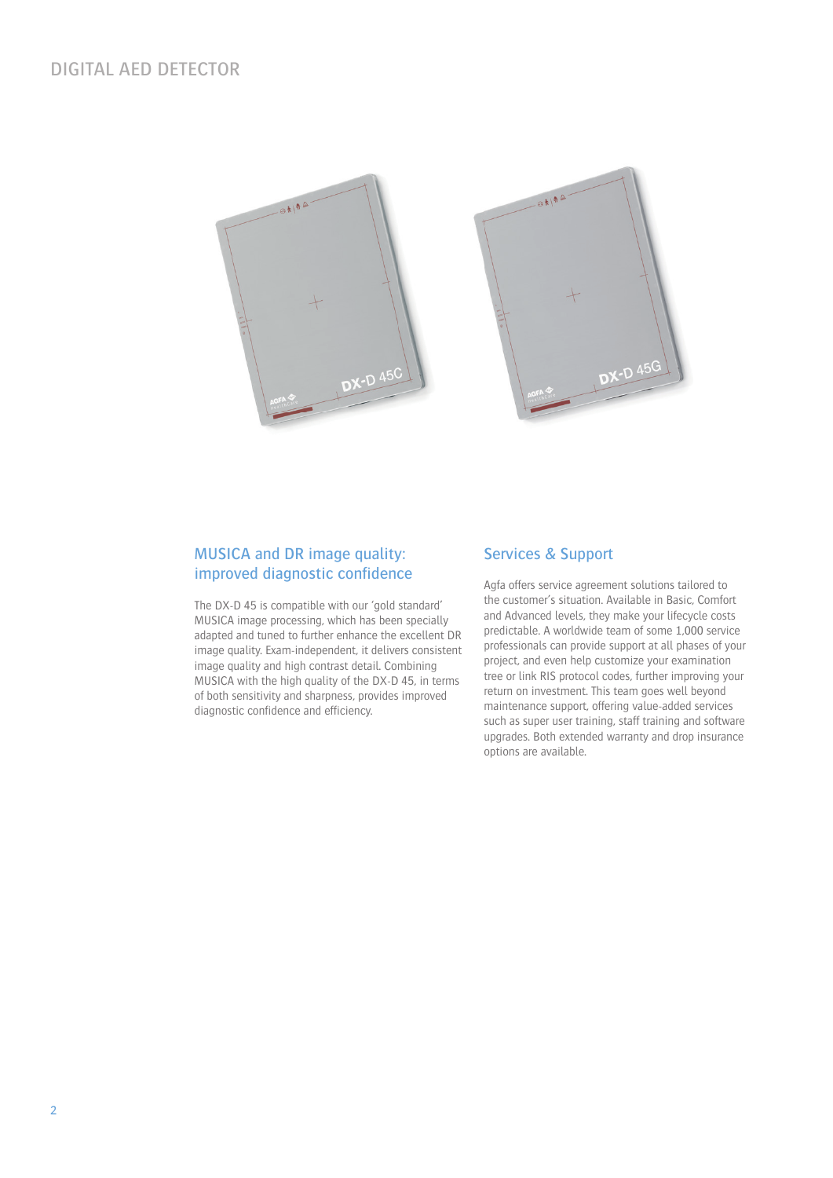# DIGITAL AED DETECTOR



### MUSICA and DR image quality: improved diagnostic confidence

The DX-D 45 is compatible with our 'gold standard' MUSICA image processing, which has been specially adapted and tuned to further enhance the excellent DR image quality. Exam-independent, it delivers consistent image quality and high contrast detail. Combining MUSICA with the high quality of the DX-D 45, in terms of both sensitivity and sharpness, provides improved diagnostic confidence and efficiency.

#### Services & Support

Agfa offers service agreement solutions tailored to the customer's situation. Available in Basic, Comfort and Advanced levels, they make your lifecycle costs predictable. A worldwide team of some 1,000 service professionals can provide support at all phases of your project, and even help customize your examination tree or link RIS protocol codes, further improving your return on investment. This team goes well beyond maintenance support, offering value-added services such as super user training, staff training and software upgrades. Both extended warranty and drop insurance options are available.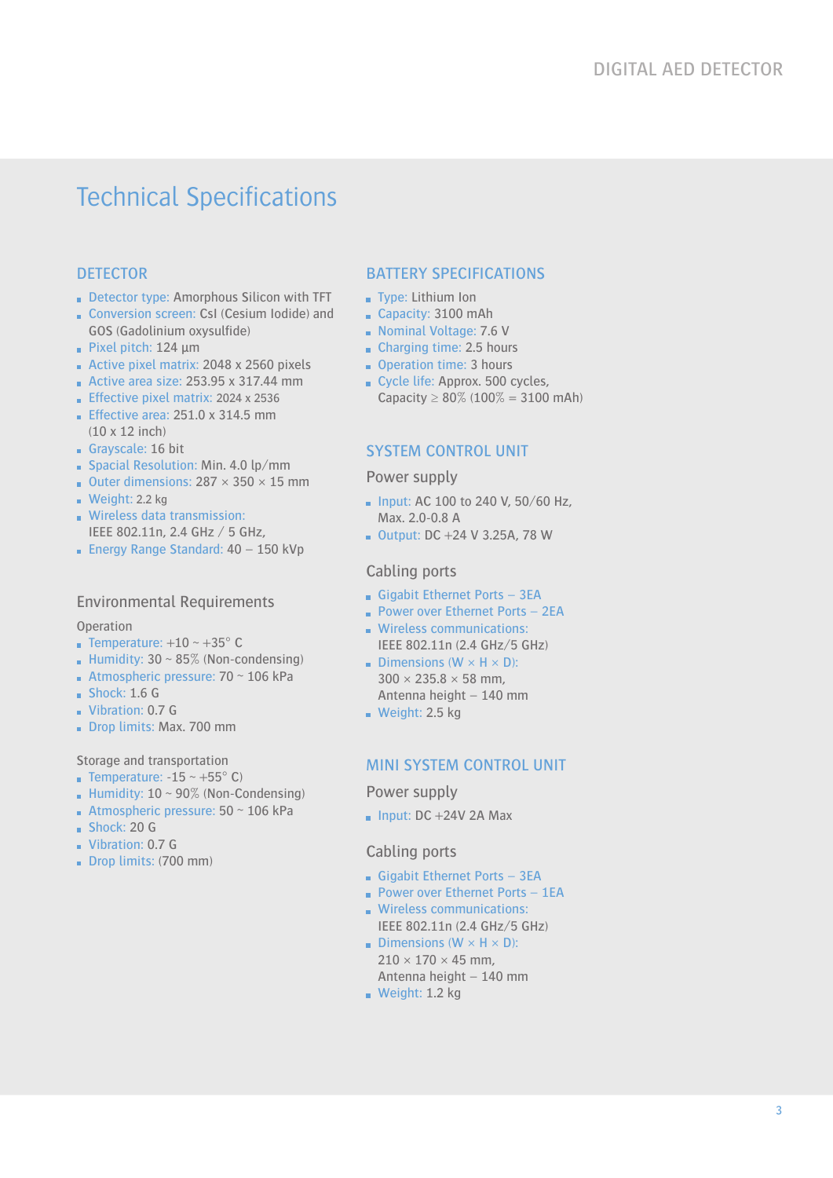# Technical Specifications

# **DETECTOR**

- Detector type: Amorphous Silicon with TFT
- Conversion screen: CsI (Cesium Iodide) and GOS (Gadolinium oxysulfide)
- Pixel pitch:  $124 \mu m$
- Active pixel matrix: 2048 x 2560 pixels
- Active area size:  $253.95 \times 317.44 \text{ mm}$
- Effective pixel matrix: 2024 x 2536
- **Effective area: 251.0 x 314.5 mm** (10 x 12 inch)
- Grayscale: 16 bit
- Spacial Resolution: Min. 4.0 lp/mm
- Outer dimensions:  $287 \times 350 \times 15$  mm
- Weight:  $2.2$  kg
- **Wireless data transmission:** IEEE 802.11n, 2.4 GHz / 5 GHz,
- **Energy Range Standard: 40 150 kVp**

# Environmental Requirements

**Operation** 

- **Temperature:**  $+10 \sim +35^{\circ}$  C
- **Humidity: 30 ~ 85% (Non-condensing)**
- Atmospheric pressure:  $70 \sim 106$  kPa
- $Shock: 1.6 G$
- Vibration: 0.7 G
- Drop limits: Max. 700 mm

Storage and transportation

- **Temperature: -15 ~ +55° C)**
- **Humidity: 10**  $\sim$  90% (Non-Condensing)
- Atmospheric pressure:  $50 \sim 106$  kPa
- Shock: 20 G
- Vibration: 0.7 G
- Drop limits: (700 mm)

# BATTERY SPECIFICATIONS

- **Type: Lithium Ion**
- Capacity: 3100 mAh
- Nominal Voltage: 7.6 V
- Charging time: 2.5 hours
- Operation time: 3 hours
- Cycle life: Approx. 500 cycles, Capacity  $\geq 80\%$  (100% = 3100 mAh)

# SYSTEM CONTROL UNIT

Power supply

- $\blacksquare$  Input: AC 100 to 240 V, 50/60 Hz, Max. 2.0-0.8 A
- $\blacksquare$  Output: DC +24 V 3.25A, 78 W

#### Cabling ports

- Gigabit Ethernet Ports  $-3EA$
- **Power over Ethernet Ports 2EA**
- **Wireless communications:** IEEE 802.11n (2.4 GHz/5 GHz)
- **Dimensions (W**  $\times$  **H**  $\times$  **D):**  $300 \times 235.8 \times 58$  mm, Antenna height – 140 mm
- Weight:  $2.5$  kg

# MINI SYSTEM CONTROL UNIT

Power supply

 $\blacksquare$  Input: DC +24V 2A Max

#### Cabling ports

- Gigabit Ethernet Ports 3EA
- **Power over Ethernet Ports 1EA**
- **Wireless communications:** IEEE 802.11n (2.4 GHz/5 GHz)
- Dimensions ( $W \times H \times D$ ):  $210 \times 170 \times 45$  mm. Antenna height – 140 mm
- Weight: 1.2 kg